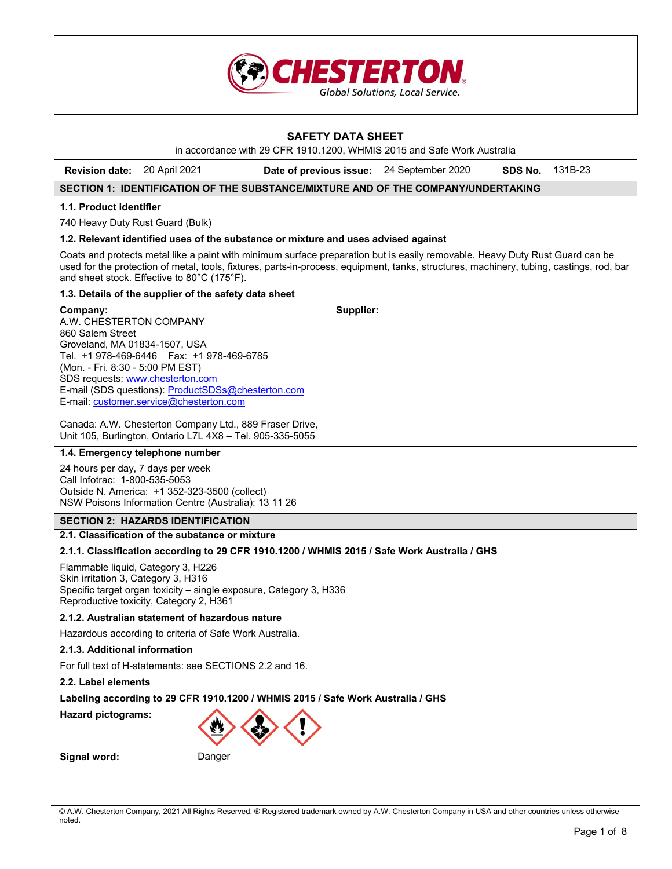

# **SAFETY DATA SHEET**  in accordance with 29 CFR 1910.1200, WHMIS 2015 and Safe Work Australia **Revision date:** 20 April 2021 **Date of previous issue:** 24 September 2020 **SDS No.** 131B-23 **SECTION 1: IDENTIFICATION OF THE SUBSTANCE/MIXTURE AND OF THE COMPANY/UNDERTAKING 1.1. Product identifier**  740 Heavy Duty Rust Guard (Bulk) **1.2. Relevant identified uses of the substance or mixture and uses advised against**  Coats and protects metal like a paint with minimum surface preparation but is easily removable. Heavy Duty Rust Guard can be used for the protection of metal, tools, fixtures, parts-in-process, equipment, tanks, structures, machinery, tubing, castings, rod, bar and sheet stock. Effective to 80°C (175°F). **1.3. Details of the supplier of the safety data sheet Company:** A.W. CHESTERTON COMPANY 860 Salem Street Groveland, MA 01834-1507, USA Tel. +1 978-469-6446 Fax: +1 978-469-6785 (Mon. - Fri. 8:30 - 5:00 PM EST) SDS requests: www.chesterton.com E-mail (SDS questions): ProductSDSs@chesterton.com E-mail: customer.service@chesterton.com Canada: A.W. Chesterton Company Ltd., 889 Fraser Drive, Unit 105, Burlington, Ontario L7L 4X8 – Tel. 905-335-5055 **Supplier: 1.4. Emergency telephone number**  24 hours per day, 7 days per week Call Infotrac: 1-800-535-5053 Outside N. America: +1 352-323-3500 (collect) NSW Poisons Information Centre (Australia): 13 11 26 **SECTION 2: HAZARDS IDENTIFICATION 2.1. Classification of the substance or mixture 2.1.1. Classification according to 29 CFR 1910.1200 / WHMIS 2015 / Safe Work Australia / GHS**  Flammable liquid, Category 3, H226

Skin irritation 3, Category 3, H316 Specific target organ toxicity – single exposure, Category 3, H336 Reproductive toxicity, Category 2, H361

# **2.1.2. Australian statement of hazardous nature**

Hazardous according to criteria of Safe Work Australia.

#### **2.1.3. Additional information**

For full text of H-statements: see SECTIONS 2.2 and 16.

# **2.2. Label elements**

**Labeling according to 29 CFR 1910.1200 / WHMIS 2015 / Safe Work Australia / GHS** 

**Hazard pictograms:** 



**Signal word:** Danger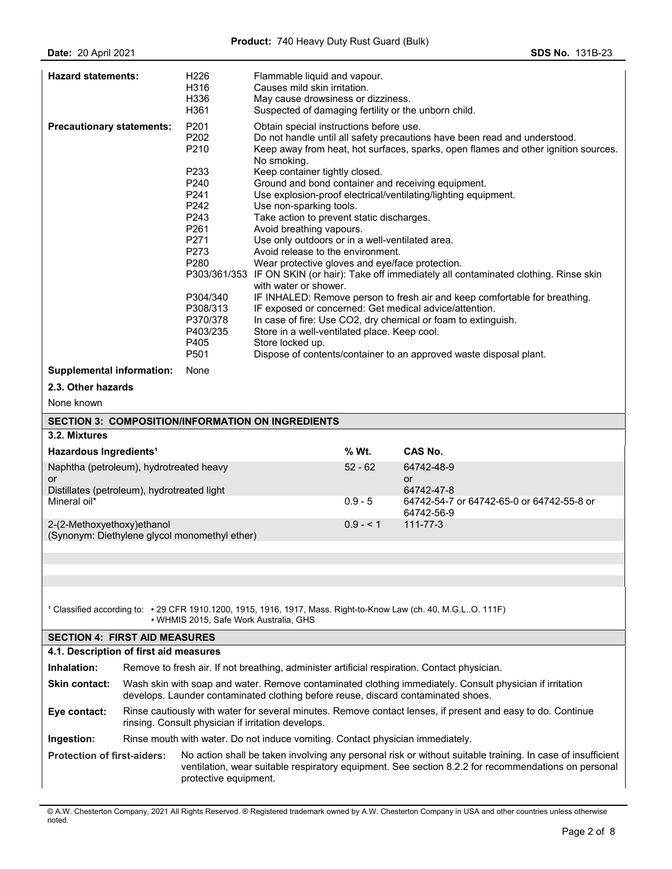| <b>Hazard statements:</b>                                                                    |                                                                                                                                                                   | H <sub>226</sub><br>H316<br>H336<br>H361 | Flammable liquid and vapour.<br>Causes mild skin irritation.<br>May cause drowsiness or dizziness.<br>Suspected of damaging fertility or the unborn child.                                                                |                                                                                |                                                                                                                                                                                                                   |  |  |
|----------------------------------------------------------------------------------------------|-------------------------------------------------------------------------------------------------------------------------------------------------------------------|------------------------------------------|---------------------------------------------------------------------------------------------------------------------------------------------------------------------------------------------------------------------------|--------------------------------------------------------------------------------|-------------------------------------------------------------------------------------------------------------------------------------------------------------------------------------------------------------------|--|--|
| <b>Precautionary statements:</b>                                                             |                                                                                                                                                                   | P201<br>P <sub>202</sub><br>P210         | Obtain special instructions before use.<br>Do not handle until all safety precautions have been read and understood.<br>Keep away from heat, hot surfaces, sparks, open flames and other ignition sources.<br>No smoking. |                                                                                |                                                                                                                                                                                                                   |  |  |
|                                                                                              |                                                                                                                                                                   | P233                                     | Keep container tightly closed.                                                                                                                                                                                            |                                                                                |                                                                                                                                                                                                                   |  |  |
|                                                                                              |                                                                                                                                                                   | P240                                     |                                                                                                                                                                                                                           |                                                                                | Ground and bond container and receiving equipment.                                                                                                                                                                |  |  |
|                                                                                              |                                                                                                                                                                   | P241<br>P242                             | Use non-sparking tools.                                                                                                                                                                                                   |                                                                                | Use explosion-proof electrical/ventilating/lighting equipment.                                                                                                                                                    |  |  |
|                                                                                              |                                                                                                                                                                   | P243                                     | Take action to prevent static discharges.                                                                                                                                                                                 |                                                                                |                                                                                                                                                                                                                   |  |  |
|                                                                                              |                                                                                                                                                                   | P <sub>261</sub>                         | Avoid breathing vapours.                                                                                                                                                                                                  |                                                                                |                                                                                                                                                                                                                   |  |  |
|                                                                                              |                                                                                                                                                                   | P271                                     | Use only outdoors or in a well-ventilated area.                                                                                                                                                                           |                                                                                |                                                                                                                                                                                                                   |  |  |
|                                                                                              |                                                                                                                                                                   | P273                                     | Avoid release to the environment.                                                                                                                                                                                         |                                                                                |                                                                                                                                                                                                                   |  |  |
|                                                                                              |                                                                                                                                                                   | P280                                     | Wear protective gloves and eye/face protection.                                                                                                                                                                           |                                                                                | P303/361/353 IF ON SKIN (or hair): Take off immediately all contaminated clothing. Rinse skin                                                                                                                     |  |  |
|                                                                                              |                                                                                                                                                                   |                                          | with water or shower.                                                                                                                                                                                                     |                                                                                |                                                                                                                                                                                                                   |  |  |
|                                                                                              |                                                                                                                                                                   | P304/340                                 |                                                                                                                                                                                                                           |                                                                                | IF INHALED: Remove person to fresh air and keep comfortable for breathing.                                                                                                                                        |  |  |
|                                                                                              |                                                                                                                                                                   | P308/313                                 |                                                                                                                                                                                                                           |                                                                                | IF exposed or concerned: Get medical advice/attention.                                                                                                                                                            |  |  |
|                                                                                              |                                                                                                                                                                   | P370/378                                 |                                                                                                                                                                                                                           |                                                                                | In case of fire: Use CO2, dry chemical or foam to extinguish.                                                                                                                                                     |  |  |
|                                                                                              |                                                                                                                                                                   | P403/235<br>P405                         | Store in a well-ventilated place. Keep cool.<br>Store locked up.                                                                                                                                                          |                                                                                |                                                                                                                                                                                                                   |  |  |
|                                                                                              |                                                                                                                                                                   | P501                                     |                                                                                                                                                                                                                           |                                                                                | Dispose of contents/container to an approved waste disposal plant.                                                                                                                                                |  |  |
| <b>Supplemental information:</b>                                                             |                                                                                                                                                                   | None                                     |                                                                                                                                                                                                                           |                                                                                |                                                                                                                                                                                                                   |  |  |
| 2.3. Other hazards                                                                           |                                                                                                                                                                   |                                          |                                                                                                                                                                                                                           |                                                                                |                                                                                                                                                                                                                   |  |  |
| None known                                                                                   |                                                                                                                                                                   |                                          |                                                                                                                                                                                                                           |                                                                                |                                                                                                                                                                                                                   |  |  |
|                                                                                              |                                                                                                                                                                   |                                          | <b>SECTION 3: COMPOSITION/INFORMATION ON INGREDIENTS</b>                                                                                                                                                                  |                                                                                |                                                                                                                                                                                                                   |  |  |
| 3.2. Mixtures                                                                                |                                                                                                                                                                   |                                          |                                                                                                                                                                                                                           |                                                                                |                                                                                                                                                                                                                   |  |  |
|                                                                                              |                                                                                                                                                                   |                                          |                                                                                                                                                                                                                           | % Wt.                                                                          | CAS No.                                                                                                                                                                                                           |  |  |
| Hazardous Ingredients <sup>1</sup>                                                           |                                                                                                                                                                   |                                          | $52 - 62$                                                                                                                                                                                                                 |                                                                                |                                                                                                                                                                                                                   |  |  |
| Naphtha (petroleum), hydrotreated heavy<br>or<br>Distillates (petroleum), hydrotreated light |                                                                                                                                                                   |                                          |                                                                                                                                                                                                                           | 64742-48-9<br><b>or</b><br>64742-47-8                                          |                                                                                                                                                                                                                   |  |  |
| Mineral oil*                                                                                 |                                                                                                                                                                   |                                          | $0.9 - 5$                                                                                                                                                                                                                 | 64742-54-7 or 64742-65-0 or 64742-55-8 or<br>64742-56-9                        |                                                                                                                                                                                                                   |  |  |
| 2-(2-Methoxyethoxy)ethanol                                                                   |                                                                                                                                                                   |                                          |                                                                                                                                                                                                                           | $0.9 - 1$                                                                      | $111 - 77 - 3$                                                                                                                                                                                                    |  |  |
| (Synonym: Diethylene glycol monomethyl ether)                                                |                                                                                                                                                                   |                                          |                                                                                                                                                                                                                           |                                                                                |                                                                                                                                                                                                                   |  |  |
|                                                                                              |                                                                                                                                                                   |                                          |                                                                                                                                                                                                                           |                                                                                |                                                                                                                                                                                                                   |  |  |
|                                                                                              |                                                                                                                                                                   |                                          |                                                                                                                                                                                                                           |                                                                                |                                                                                                                                                                                                                   |  |  |
|                                                                                              |                                                                                                                                                                   |                                          |                                                                                                                                                                                                                           |                                                                                |                                                                                                                                                                                                                   |  |  |
|                                                                                              |                                                                                                                                                                   |                                          |                                                                                                                                                                                                                           |                                                                                | 1 Classified according to: • 29 CFR 1910.1200, 1915, 1916, 1917, Mass. Right-to-Know Law (ch. 40, M.G.L. O. 111F)                                                                                                 |  |  |
|                                                                                              |                                                                                                                                                                   | • WHMIS 2015, Safe Work Australia, GHS   |                                                                                                                                                                                                                           |                                                                                |                                                                                                                                                                                                                   |  |  |
| <b>SECTION 4: FIRST AID MEASURES</b>                                                         |                                                                                                                                                                   |                                          |                                                                                                                                                                                                                           |                                                                                |                                                                                                                                                                                                                   |  |  |
| 4.1. Description of first aid measures                                                       |                                                                                                                                                                   |                                          |                                                                                                                                                                                                                           |                                                                                |                                                                                                                                                                                                                   |  |  |
| Inhalation:                                                                                  | Remove to fresh air. If not breathing, administer artificial respiration. Contact physician.                                                                      |                                          |                                                                                                                                                                                                                           |                                                                                |                                                                                                                                                                                                                   |  |  |
| <b>Skin contact:</b>                                                                         | Wash skin with soap and water. Remove contaminated clothing immediately. Consult physician if irritation                                                          |                                          |                                                                                                                                                                                                                           |                                                                                |                                                                                                                                                                                                                   |  |  |
|                                                                                              |                                                                                                                                                                   |                                          |                                                                                                                                                                                                                           |                                                                                | develops. Launder contaminated clothing before reuse, discard contaminated shoes.                                                                                                                                 |  |  |
| Eye contact:                                                                                 | Rinse cautiously with water for several minutes. Remove contact lenses, if present and easy to do. Continue<br>rinsing. Consult physician if irritation develops. |                                          |                                                                                                                                                                                                                           |                                                                                |                                                                                                                                                                                                                   |  |  |
|                                                                                              | Ingestion:                                                                                                                                                        |                                          |                                                                                                                                                                                                                           | Rinse mouth with water. Do not induce vomiting. Contact physician immediately. |                                                                                                                                                                                                                   |  |  |
|                                                                                              |                                                                                                                                                                   |                                          |                                                                                                                                                                                                                           |                                                                                |                                                                                                                                                                                                                   |  |  |
| <b>Protection of first-aiders:</b>                                                           |                                                                                                                                                                   | protective equipment.                    |                                                                                                                                                                                                                           |                                                                                | No action shall be taken involving any personal risk or without suitable training. In case of insufficient<br>ventilation, wear suitable respiratory equipment. See section 8.2.2 for recommendations on personal |  |  |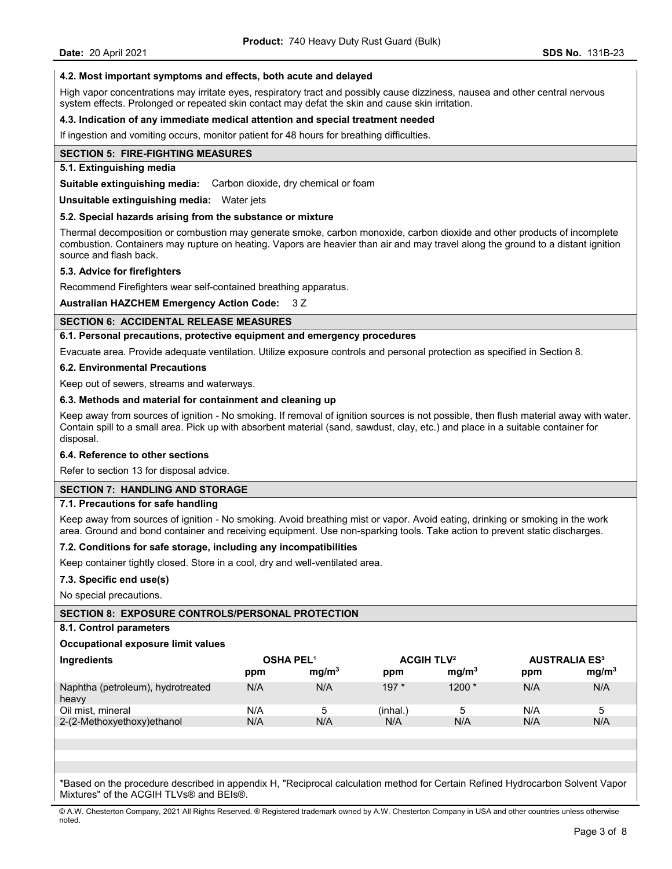### **4.2. Most important symptoms and effects, both acute and delayed**

High vapor concentrations may irritate eyes, respiratory tract and possibly cause dizziness, nausea and other central nervous system effects. Prolonged or repeated skin contact may defat the skin and cause skin irritation.

#### **4.3. Indication of any immediate medical attention and special treatment needed**

If ingestion and vomiting occurs, monitor patient for 48 hours for breathing difficulties.

#### **SECTION 5: FIRE-FIGHTING MEASURES**

# **5.1. Extinguishing media**

**Suitable extinguishing media:** Carbon dioxide, dry chemical or foam

**Unsuitable extinguishing media:** Water jets

#### **5.2. Special hazards arising from the substance or mixture**

Thermal decomposition or combustion may generate smoke, carbon monoxide, carbon dioxide and other products of incomplete combustion. Containers may rupture on heating. Vapors are heavier than air and may travel along the ground to a distant ignition source and flash back.

#### **5.3. Advice for firefighters**

Recommend Firefighters wear self-contained breathing apparatus.

#### **Australian HAZCHEM Emergency Action Code:** 3 Z

# **SECTION 6: ACCIDENTAL RELEASE MEASURES**

#### **6.1. Personal precautions, protective equipment and emergency procedures**

Evacuate area. Provide adequate ventilation. Utilize exposure controls and personal protection as specified in Section 8.

#### **6.2. Environmental Precautions**

Keep out of sewers, streams and waterways.

### **6.3. Methods and material for containment and cleaning up**

Keep away from sources of ignition - No smoking. If removal of ignition sources is not possible, then flush material away with water. Contain spill to a small area. Pick up with absorbent material (sand, sawdust, clay, etc.) and place in a suitable container for disposal.

#### **6.4. Reference to other sections**

Refer to section 13 for disposal advice.

# **SECTION 7: HANDLING AND STORAGE**

#### **7.1. Precautions for safe handling**

Keep away from sources of ignition - No smoking. Avoid breathing mist or vapor. Avoid eating, drinking or smoking in the work area. Ground and bond container and receiving equipment. Use non-sparking tools. Take action to prevent static discharges.

#### **7.2. Conditions for safe storage, including any incompatibilities**

Keep container tightly closed. Store in a cool, dry and well-ventilated area.

#### **7.3. Specific end use(s)**

No special precautions.

#### **SECTION 8: EXPOSURE CONTROLS/PERSONAL PROTECTION**

#### **8.1. Control parameters**

#### **Occupational exposure limit values**

| Ingredients                                |     | <b>OSHA PEL1</b>  |          | <b>ACGIH TLV<sup>2</sup></b> |     | <b>AUSTRALIA ES<sup>3</sup></b> |
|--------------------------------------------|-----|-------------------|----------|------------------------------|-----|---------------------------------|
|                                            | ppm | mq/m <sup>3</sup> | ppm      | mq/m <sup>3</sup>            | ppm | mg/m <sup>3</sup>               |
| Naphtha (petroleum), hydrotreated<br>heavy | N/A | N/A               | $197*$   | $1200*$                      | N/A | N/A                             |
| Oil mist, mineral                          | N/A | b                 | (inhal.` | '5                           | N/A |                                 |
| 2-(2-Methoxyethoxy)ethanol                 | N/A | N/A               | N/A      | N/A                          | N/A | N/A                             |

\*Based on the procedure described in appendix H, "Reciprocal calculation method for Certain Refined Hydrocarbon Solvent Vapor Mixtures" of the ACGIH TLVs® and BEIs®.

© A.W. Chesterton Company, 2021 All Rights Reserved. ® Registered trademark owned by A.W. Chesterton Company in USA and other countries unless otherwise noted.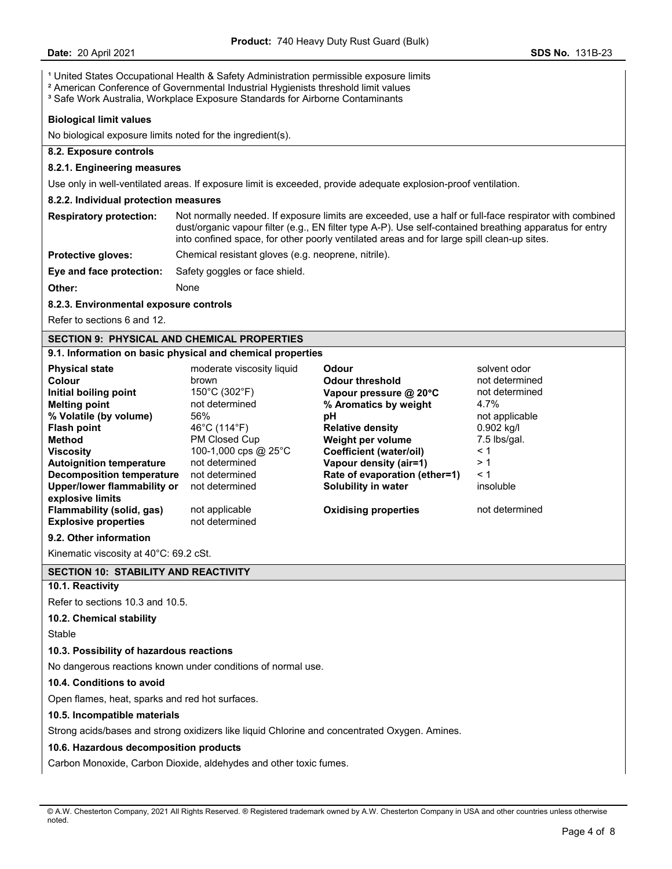<sup>1</sup> United States Occupational Health & Safety Administration permissible exposure limits

<sup>2</sup> American Conference of Governmental Industrial Hygienists threshold limit values

<sup>3</sup> Safe Work Australia, Workplace Exposure Standards for Airborne Contaminants

### **Biological limit values**

No biological exposure limits noted for the ingredient(s).

# **8.2. Exposure controls**

#### **8.2.1. Engineering measures**

Use only in well-ventilated areas. If exposure limit is exceeded, provide adequate explosion-proof ventilation.

### **8.2.2. Individual protection measures**

**Respiratory protection:** Not normally needed. If exposure limits are exceeded, use a half or full-face respirator with combined dust/organic vapour filter (e.g., EN filter type A-P). Use self-contained breathing apparatus for entry into confined space, for other poorly ventilated areas and for large spill clean-up sites.

**Protective gloves:** Chemical resistant gloves (e.g. neoprene, nitrile).

**Eye and face protection:** Safety goggles or face shield.

**Other:** None

**8.2.3. Environmental exposure controls** 

Refer to sections 6 and 12.

# **SECTION 9: PHYSICAL AND CHEMICAL PROPERTIES**

### **9.1. Information on basic physical and chemical properties**

| <b>Physical state</b>           | moderate viscosity liquid          | Odour                          | solvent odor   |
|---------------------------------|------------------------------------|--------------------------------|----------------|
| Colour                          | brown                              | <b>Odour threshold</b>         | not determined |
| Initial boiling point           | $150^{\circ}$ C (302 $^{\circ}$ F) | Vapour pressure $@$ 20 $°C$    | not determined |
| <b>Melting point</b>            | not determined                     | % Aromatics by weight          | 4.7%           |
| % Volatile (by volume)          | 56%                                | рH                             | not applicable |
| <b>Flash point</b>              | 46°C (114°F)                       | <b>Relative density</b>        | $0.902$ kg/l   |
| Method                          | PM Closed Cup                      | Weight per volume              | 7.5 lbs/gal.   |
| <b>Viscosity</b>                | 100-1,000 cps @ 25 $^{\circ}$ C    | <b>Coefficient (water/oil)</b> | $\leq 1$       |
| <b>Autoignition temperature</b> | not determined                     | Vapour density (air=1)         | >1             |
| Decomposition temperature       | not determined                     | Rate of evaporation (ether=1)  | $\leq 1$       |
| Upper/lower flammability or     | not determined                     | Solubility in water            | insoluble      |
| explosive limits                |                                    |                                |                |
| Flammability (solid, gas)       | not applicable                     | <b>Oxidising properties</b>    | not determined |
| <b>Explosive properties</b>     | not determined                     |                                |                |

### **9.2. Other information**

Kinematic viscosity at 40°C: 69.2 cSt.

# **SECTION 10: STABILITY AND REACTIVITY**

# **10.1. Reactivity**

Refer to sections 10.3 and 10.5.

# **10.2. Chemical stability**

Stable

# **10.3. Possibility of hazardous reactions**

No dangerous reactions known under conditions of normal use.

# **10.4. Conditions to avoid**

Open flames, heat, sparks and red hot surfaces.

#### **10.5. Incompatible materials**

Strong acids/bases and strong oxidizers like liquid Chlorine and concentrated Oxygen. Amines.

#### **10.6. Hazardous decomposition products**

Carbon Monoxide, Carbon Dioxide, aldehydes and other toxic fumes.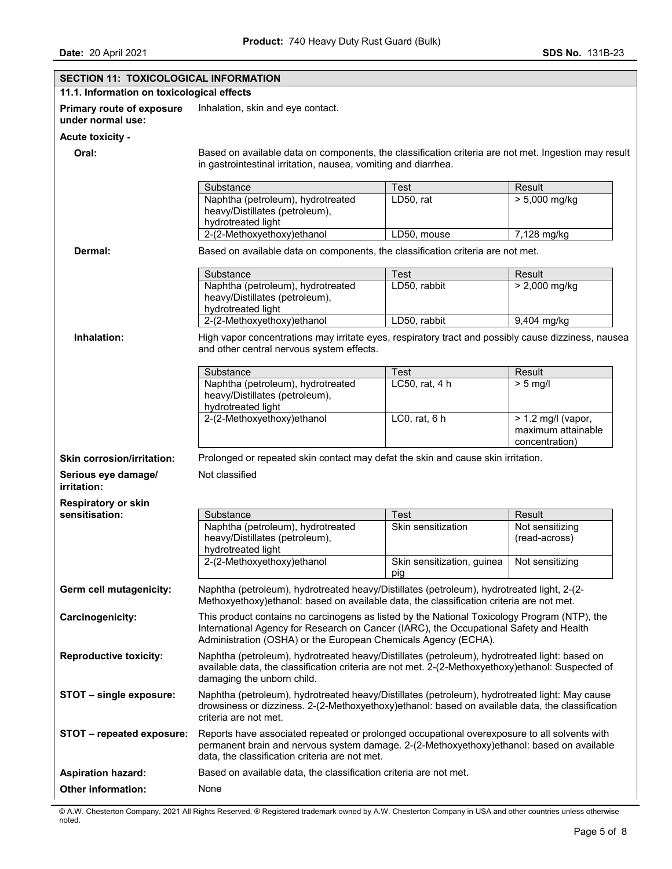| <b>SECTION 11: TOXICOLOGICAL INFORMATION</b>                                                                                                                    |                                                                                                                                                                                                                                                          |                                                     |                                                              |  |
|-----------------------------------------------------------------------------------------------------------------------------------------------------------------|----------------------------------------------------------------------------------------------------------------------------------------------------------------------------------------------------------------------------------------------------------|-----------------------------------------------------|--------------------------------------------------------------|--|
| 11.1. Information on toxicological effects                                                                                                                      |                                                                                                                                                                                                                                                          |                                                     |                                                              |  |
| Primary route of exposure<br>under normal use:                                                                                                                  | Inhalation, skin and eye contact.                                                                                                                                                                                                                        |                                                     |                                                              |  |
| <b>Acute toxicity -</b>                                                                                                                                         |                                                                                                                                                                                                                                                          |                                                     |                                                              |  |
| Oral:                                                                                                                                                           | Based on available data on components, the classification criteria are not met. Ingestion may result<br>in gastrointestinal irritation, nausea, vomiting and diarrhea.                                                                                   |                                                     |                                                              |  |
|                                                                                                                                                                 | Substance                                                                                                                                                                                                                                                | <b>Test</b>                                         | Result                                                       |  |
|                                                                                                                                                                 | Naphtha (petroleum), hydrotreated<br>heavy/Distillates (petroleum),<br>hydrotreated light                                                                                                                                                                | LD50, rat                                           | > 5,000 mg/kg                                                |  |
|                                                                                                                                                                 | 2-(2-Methoxyethoxy)ethanol                                                                                                                                                                                                                               | LD50, mouse                                         | 7,128 mg/kg                                                  |  |
| Dermal:                                                                                                                                                         | Based on available data on components, the classification criteria are not met.                                                                                                                                                                          |                                                     |                                                              |  |
|                                                                                                                                                                 | Substance                                                                                                                                                                                                                                                | Test                                                | Result                                                       |  |
|                                                                                                                                                                 | Naphtha (petroleum), hydrotreated<br>heavy/Distillates (petroleum),<br>hydrotreated light                                                                                                                                                                | LD50, rabbit                                        | > 2,000 mg/kg                                                |  |
|                                                                                                                                                                 | 2-(2-Methoxyethoxy)ethanol                                                                                                                                                                                                                               | LD50, rabbit                                        | 9,404 mg/kg                                                  |  |
| Inhalation:<br>High vapor concentrations may irritate eyes, respiratory tract and possibly cause dizziness, nausea<br>and other central nervous system effects. |                                                                                                                                                                                                                                                          |                                                     |                                                              |  |
|                                                                                                                                                                 | Substance                                                                                                                                                                                                                                                | Test                                                | Result                                                       |  |
|                                                                                                                                                                 | Naphtha (petroleum), hydrotreated<br>heavy/Distillates (petroleum),<br>hydrotreated light                                                                                                                                                                | LC50, rat, 4 h                                      | $> 5$ mg/l                                                   |  |
|                                                                                                                                                                 | 2-(2-Methoxyethoxy)ethanol                                                                                                                                                                                                                               | $LCO$ , rat, $6h$                                   | $> 1.2$ mg/l (vapor,<br>maximum attainable<br>concentration) |  |
| <b>Skin corrosion/irritation:</b>                                                                                                                               | Prolonged or repeated skin contact may defat the skin and cause skin irritation.                                                                                                                                                                         |                                                     |                                                              |  |
| Serious eye damage/<br>irritation:                                                                                                                              | Not classified                                                                                                                                                                                                                                           |                                                     |                                                              |  |
| <b>Respiratory or skin</b>                                                                                                                                      |                                                                                                                                                                                                                                                          |                                                     |                                                              |  |
| sensitisation:                                                                                                                                                  | Substance                                                                                                                                                                                                                                                | Test                                                | Result                                                       |  |
|                                                                                                                                                                 | Naphtha (petroleum), hydrotreated<br>heavy/Distillates (petroleum),<br>hydrotreated light                                                                                                                                                                | Skin sensitization                                  | Not sensitizing<br>(read-across)                             |  |
|                                                                                                                                                                 | 2-(2-Methoxyethoxy)ethanol                                                                                                                                                                                                                               | Skin sensitization, guinea   Not sensitizing<br>pig |                                                              |  |
| Germ cell mutagenicity:                                                                                                                                         | Naphtha (petroleum), hydrotreated heavy/Distillates (petroleum), hydrotreated light, 2-(2-<br>Methoxyethoxy) ethanol: based on available data, the classification criteria are not met.                                                                  |                                                     |                                                              |  |
| Carcinogenicity:                                                                                                                                                | This product contains no carcinogens as listed by the National Toxicology Program (NTP), the<br>International Agency for Research on Cancer (IARC), the Occupational Safety and Health<br>Administration (OSHA) or the European Chemicals Agency (ECHA). |                                                     |                                                              |  |
| <b>Reproductive toxicity:</b>                                                                                                                                   | Naphtha (petroleum), hydrotreated heavy/Distillates (petroleum), hydrotreated light: based on<br>available data, the classification criteria are not met. 2-(2-Methoxyethoxy)ethanol: Suspected of<br>damaging the unborn child.                         |                                                     |                                                              |  |
| STOT - single exposure:                                                                                                                                         | Naphtha (petroleum), hydrotreated heavy/Distillates (petroleum), hydrotreated light: May cause<br>drowsiness or dizziness. 2-(2-Methoxyethoxy)ethanol: based on available data, the classification<br>criteria are not met.                              |                                                     |                                                              |  |
| STOT - repeated exposure:                                                                                                                                       | Reports have associated repeated or prolonged occupational overexposure to all solvents with<br>permanent brain and nervous system damage. 2-(2-Methoxyethoxy)ethanol: based on available<br>data, the classification criteria are not met.              |                                                     |                                                              |  |
| <b>Aspiration hazard:</b>                                                                                                                                       | Based on available data, the classification criteria are not met.                                                                                                                                                                                        |                                                     |                                                              |  |
| Other information:                                                                                                                                              | None                                                                                                                                                                                                                                                     |                                                     |                                                              |  |

© A.W. Chesterton Company, 2021 All Rights Reserved. ® Registered trademark owned by A.W. Chesterton Company in USA and other countries unless otherwise noted.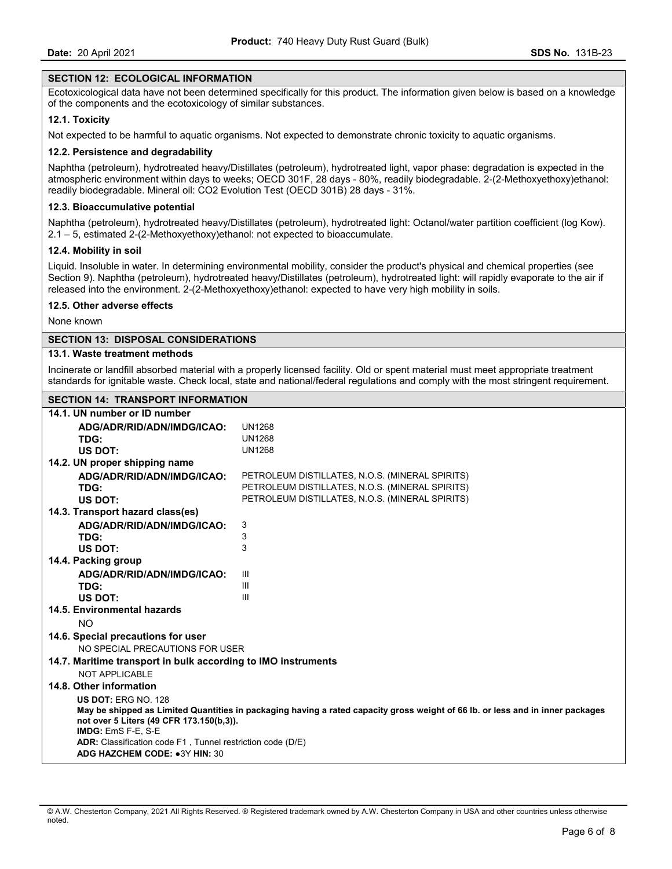# **SECTION 12: ECOLOGICAL INFORMATION**

Ecotoxicological data have not been determined specifically for this product. The information given below is based on a knowledge of the components and the ecotoxicology of similar substances.

# **12.1. Toxicity**

Not expected to be harmful to aquatic organisms. Not expected to demonstrate chronic toxicity to aquatic organisms.

#### **12.2. Persistence and degradability**

Naphtha (petroleum), hydrotreated heavy/Distillates (petroleum), hydrotreated light, vapor phase: degradation is expected in the atmospheric environment within days to weeks; OECD 301F, 28 days - 80%, readily biodegradable. 2-(2-Methoxyethoxy)ethanol: readily biodegradable. Mineral oil: CO2 Evolution Test (OECD 301B) 28 days - 31%.

# **12.3. Bioaccumulative potential**

Naphtha (petroleum), hydrotreated heavy/Distillates (petroleum), hydrotreated light: Octanol/water partition coefficient (log Kow). 2.1 – 5, estimated 2-(2-Methoxyethoxy)ethanol: not expected to bioaccumulate.

### **12.4. Mobility in soil**

Liquid. Insoluble in water. In determining environmental mobility, consider the product's physical and chemical properties (see Section 9). Naphtha (petroleum), hydrotreated heavy/Distillates (petroleum), hydrotreated light: will rapidly evaporate to the air if released into the environment. 2-(2-Methoxyethoxy)ethanol: expected to have very high mobility in soils.

### **12.5. Other adverse effects**

None known

# **SECTION 13: DISPOSAL CONSIDERATIONS**

# **13.1. Waste treatment methods**

Incinerate or landfill absorbed material with a properly licensed facility. Old or spent material must meet appropriate treatment standards for ignitable waste. Check local, state and national/federal regulations and comply with the most stringent requirement.

# **SECTION 14: TRANSPORT INFORMATION**

| 14.1. UN number or ID number                                                                                                   |                                                 |  |  |  |
|--------------------------------------------------------------------------------------------------------------------------------|-------------------------------------------------|--|--|--|
| ADG/ADR/RID/ADN/IMDG/ICAO:                                                                                                     | <b>UN1268</b>                                   |  |  |  |
| TDG:                                                                                                                           | <b>UN1268</b>                                   |  |  |  |
| US DOT:                                                                                                                        | <b>UN1268</b>                                   |  |  |  |
| 14.2. UN proper shipping name                                                                                                  |                                                 |  |  |  |
| ADG/ADR/RID/ADN/IMDG/ICAO:                                                                                                     | PETROLEUM DISTILLATES, N.O.S. (MINERAL SPIRITS) |  |  |  |
| TDG:                                                                                                                           | PETROLEUM DISTILLATES, N.O.S. (MINERAL SPIRITS) |  |  |  |
| US DOT:                                                                                                                        | PETROLEUM DISTILLATES, N.O.S. (MINERAL SPIRITS) |  |  |  |
| 14.3. Transport hazard class(es)                                                                                               |                                                 |  |  |  |
| ADG/ADR/RID/ADN/IMDG/ICAO:                                                                                                     | 3                                               |  |  |  |
| TDG:                                                                                                                           | 3                                               |  |  |  |
| <b>US DOT:</b>                                                                                                                 | 3                                               |  |  |  |
| 14.4. Packing group                                                                                                            |                                                 |  |  |  |
| ADG/ADR/RID/ADN/IMDG/ICAO:                                                                                                     | Ш                                               |  |  |  |
| TDG:                                                                                                                           | Ш                                               |  |  |  |
| US DOT:                                                                                                                        | Ш                                               |  |  |  |
| 14.5. Environmental hazards                                                                                                    |                                                 |  |  |  |
| NO.                                                                                                                            |                                                 |  |  |  |
| 14.6. Special precautions for user                                                                                             |                                                 |  |  |  |
| NO SPECIAL PRECAUTIONS FOR USER                                                                                                |                                                 |  |  |  |
| 14.7. Maritime transport in bulk according to IMO instruments                                                                  |                                                 |  |  |  |
| <b>NOT APPLICABLE</b>                                                                                                          |                                                 |  |  |  |
| 14.8. Other information                                                                                                        |                                                 |  |  |  |
| <b>US DOT: ERG NO. 128</b>                                                                                                     |                                                 |  |  |  |
| May be shipped as Limited Quantities in packaging having a rated capacity gross weight of 66 lb. or less and in inner packages |                                                 |  |  |  |
| not over 5 Liters (49 CFR 173.150(b,3)).                                                                                       |                                                 |  |  |  |
| IMDG: EmS F-E, S-E<br><b>ADR:</b> Classification code F1, Tunnel restriction code (D/E)                                        |                                                 |  |  |  |
| ADG HAZCHEM CODE: •3Y HIN: 30                                                                                                  |                                                 |  |  |  |
|                                                                                                                                |                                                 |  |  |  |

<sup>©</sup> A.W. Chesterton Company, 2021 All Rights Reserved. ® Registered trademark owned by A.W. Chesterton Company in USA and other countries unless otherwise noted.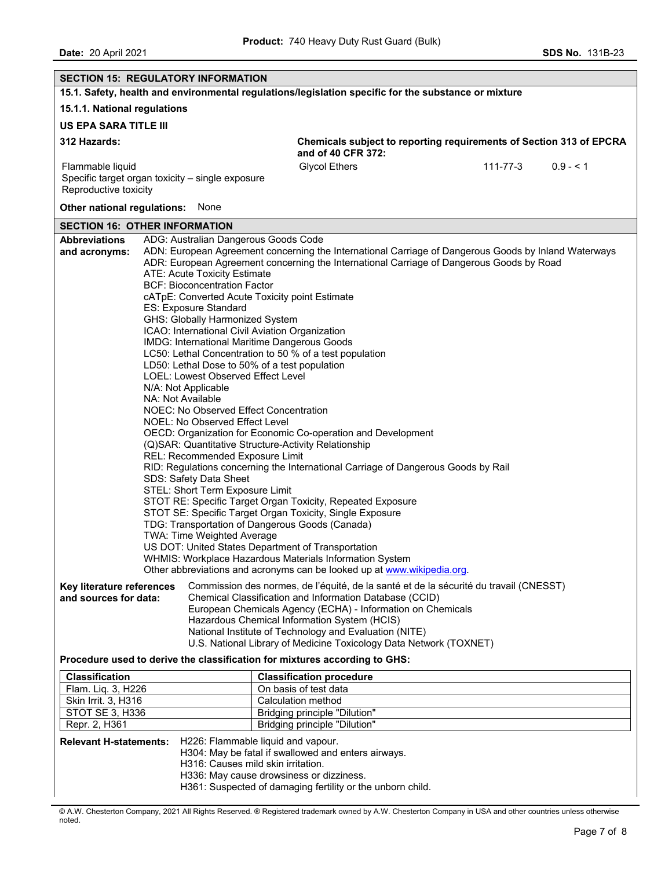| <b>SECTION 15: REGULATORY INFORMATION</b>                                                                                                                                                                                                                                                                                                                                                                                                             |                                                                                                                                                                                                                                                                                                                                                                                                                                                                                                                                                                                                                                                                                         |                                                                                                                                                                                                                                                                                                                                                                                                                                                                                                                                                                                                                                                                                                                                                                                                                                                   |          |           |  |  |
|-------------------------------------------------------------------------------------------------------------------------------------------------------------------------------------------------------------------------------------------------------------------------------------------------------------------------------------------------------------------------------------------------------------------------------------------------------|-----------------------------------------------------------------------------------------------------------------------------------------------------------------------------------------------------------------------------------------------------------------------------------------------------------------------------------------------------------------------------------------------------------------------------------------------------------------------------------------------------------------------------------------------------------------------------------------------------------------------------------------------------------------------------------------|---------------------------------------------------------------------------------------------------------------------------------------------------------------------------------------------------------------------------------------------------------------------------------------------------------------------------------------------------------------------------------------------------------------------------------------------------------------------------------------------------------------------------------------------------------------------------------------------------------------------------------------------------------------------------------------------------------------------------------------------------------------------------------------------------------------------------------------------------|----------|-----------|--|--|
|                                                                                                                                                                                                                                                                                                                                                                                                                                                       |                                                                                                                                                                                                                                                                                                                                                                                                                                                                                                                                                                                                                                                                                         | 15.1. Safety, health and environmental regulations/legislation specific for the substance or mixture                                                                                                                                                                                                                                                                                                                                                                                                                                                                                                                                                                                                                                                                                                                                              |          |           |  |  |
| 15.1.1. National regulations                                                                                                                                                                                                                                                                                                                                                                                                                          |                                                                                                                                                                                                                                                                                                                                                                                                                                                                                                                                                                                                                                                                                         |                                                                                                                                                                                                                                                                                                                                                                                                                                                                                                                                                                                                                                                                                                                                                                                                                                                   |          |           |  |  |
| <b>US EPA SARA TITLE III</b>                                                                                                                                                                                                                                                                                                                                                                                                                          |                                                                                                                                                                                                                                                                                                                                                                                                                                                                                                                                                                                                                                                                                         |                                                                                                                                                                                                                                                                                                                                                                                                                                                                                                                                                                                                                                                                                                                                                                                                                                                   |          |           |  |  |
| 312 Hazards:                                                                                                                                                                                                                                                                                                                                                                                                                                          |                                                                                                                                                                                                                                                                                                                                                                                                                                                                                                                                                                                                                                                                                         | Chemicals subject to reporting requirements of Section 313 of EPCRA<br>and of 40 CFR 372:                                                                                                                                                                                                                                                                                                                                                                                                                                                                                                                                                                                                                                                                                                                                                         |          |           |  |  |
| Flammable liquid<br>Reproductive toxicity                                                                                                                                                                                                                                                                                                                                                                                                             | Specific target organ toxicity - single exposure                                                                                                                                                                                                                                                                                                                                                                                                                                                                                                                                                                                                                                        | <b>Glycol Ethers</b>                                                                                                                                                                                                                                                                                                                                                                                                                                                                                                                                                                                                                                                                                                                                                                                                                              | 111-77-3 | $0.9 - 1$ |  |  |
| Other national regulations: None                                                                                                                                                                                                                                                                                                                                                                                                                      |                                                                                                                                                                                                                                                                                                                                                                                                                                                                                                                                                                                                                                                                                         |                                                                                                                                                                                                                                                                                                                                                                                                                                                                                                                                                                                                                                                                                                                                                                                                                                                   |          |           |  |  |
| <b>SECTION 16: OTHER INFORMATION</b>                                                                                                                                                                                                                                                                                                                                                                                                                  |                                                                                                                                                                                                                                                                                                                                                                                                                                                                                                                                                                                                                                                                                         |                                                                                                                                                                                                                                                                                                                                                                                                                                                                                                                                                                                                                                                                                                                                                                                                                                                   |          |           |  |  |
| <b>Abbreviations</b><br>and acronyms:                                                                                                                                                                                                                                                                                                                                                                                                                 | ADG: Australian Dangerous Goods Code<br>ATE: Acute Toxicity Estimate<br><b>BCF: Bioconcentration Factor</b><br>cATpE: Converted Acute Toxicity point Estimate<br>ES: Exposure Standard<br>GHS: Globally Harmonized System<br>ICAO: International Civil Aviation Organization<br><b>IMDG: International Maritime Dangerous Goods</b><br>LD50: Lethal Dose to 50% of a test population<br>LOEL: Lowest Observed Effect Level<br>N/A: Not Applicable<br>NA: Not Available<br>NOEC: No Observed Effect Concentration<br><b>NOEL: No Observed Effect Level</b><br>REL: Recommended Exposure Limit<br>SDS: Safety Data Sheet<br>STEL: Short Term Exposure Limit<br>TWA: Time Weighted Average | ADN: European Agreement concerning the International Carriage of Dangerous Goods by Inland Waterways<br>ADR: European Agreement concerning the International Carriage of Dangerous Goods by Road<br>LC50: Lethal Concentration to 50 % of a test population<br>OECD: Organization for Economic Co-operation and Development<br>(Q)SAR: Quantitative Structure-Activity Relationship<br>RID: Regulations concerning the International Carriage of Dangerous Goods by Rail<br>STOT RE: Specific Target Organ Toxicity, Repeated Exposure<br>STOT SE: Specific Target Organ Toxicity, Single Exposure<br>TDG: Transportation of Dangerous Goods (Canada)<br>US DOT: United States Department of Transportation<br>WHMIS: Workplace Hazardous Materials Information System<br>Other abbreviations and acronyms can be looked up at www.wikipedia.org. |          |           |  |  |
| Commission des normes, de l'équité, de la santé et de la sécurité du travail (CNESST)<br>Key literature references<br>and sources for data:<br>Chemical Classification and Information Database (CCID)<br>European Chemicals Agency (ECHA) - Information on Chemicals<br>Hazardous Chemical Information System (HCIS)<br>National Institute of Technology and Evaluation (NITE)<br>U.S. National Library of Medicine Toxicology Data Network (TOXNET) |                                                                                                                                                                                                                                                                                                                                                                                                                                                                                                                                                                                                                                                                                         |                                                                                                                                                                                                                                                                                                                                                                                                                                                                                                                                                                                                                                                                                                                                                                                                                                                   |          |           |  |  |
| Procedure used to derive the classification for mixtures according to GHS:                                                                                                                                                                                                                                                                                                                                                                            |                                                                                                                                                                                                                                                                                                                                                                                                                                                                                                                                                                                                                                                                                         |                                                                                                                                                                                                                                                                                                                                                                                                                                                                                                                                                                                                                                                                                                                                                                                                                                                   |          |           |  |  |
| <b>Classification</b><br>Flam. Liq. 3, H226                                                                                                                                                                                                                                                                                                                                                                                                           |                                                                                                                                                                                                                                                                                                                                                                                                                                                                                                                                                                                                                                                                                         | <b>Classification procedure</b><br>On basis of test data                                                                                                                                                                                                                                                                                                                                                                                                                                                                                                                                                                                                                                                                                                                                                                                          |          |           |  |  |
| Skin Irrit. 3, H316<br>Calculation method                                                                                                                                                                                                                                                                                                                                                                                                             |                                                                                                                                                                                                                                                                                                                                                                                                                                                                                                                                                                                                                                                                                         |                                                                                                                                                                                                                                                                                                                                                                                                                                                                                                                                                                                                                                                                                                                                                                                                                                                   |          |           |  |  |
| <b>STOT SE 3, H336</b><br><b>Bridging principle "Dilution"</b>                                                                                                                                                                                                                                                                                                                                                                                        |                                                                                                                                                                                                                                                                                                                                                                                                                                                                                                                                                                                                                                                                                         |                                                                                                                                                                                                                                                                                                                                                                                                                                                                                                                                                                                                                                                                                                                                                                                                                                                   |          |           |  |  |
| Repr. 2, H361                                                                                                                                                                                                                                                                                                                                                                                                                                         |                                                                                                                                                                                                                                                                                                                                                                                                                                                                                                                                                                                                                                                                                         | <b>Bridging principle "Dilution"</b>                                                                                                                                                                                                                                                                                                                                                                                                                                                                                                                                                                                                                                                                                                                                                                                                              |          |           |  |  |
|                                                                                                                                                                                                                                                                                                                                                                                                                                                       | H226: Flammable liquid and vapour.<br><b>Relevant H-statements:</b><br>H304: May be fatal if swallowed and enters airways.<br>H316: Causes mild skin irritation.<br>H336: May cause drowsiness or dizziness.<br>H361: Suspected of damaging fertility or the unborn child.                                                                                                                                                                                                                                                                                                                                                                                                              |                                                                                                                                                                                                                                                                                                                                                                                                                                                                                                                                                                                                                                                                                                                                                                                                                                                   |          |           |  |  |

© A.W. Chesterton Company, 2021 All Rights Reserved. ® Registered trademark owned by A.W. Chesterton Company in USA and other countries unless otherwise noted.